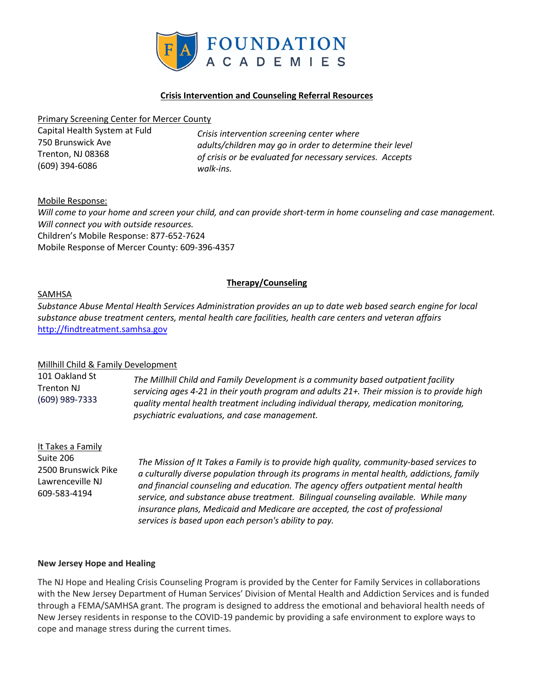

## **Crisis Intervention and Counseling Referral Resources**

#### Primary Screening Center for Mercer County

| Capital Health System at Fuld | Crisis intervention screening center where<br>adults/children may go in order to determine their level<br>of crisis or be evaluated for necessary services. Accepts |
|-------------------------------|---------------------------------------------------------------------------------------------------------------------------------------------------------------------|
| 750 Brunswick Ave             |                                                                                                                                                                     |
| Trenton. NJ 08368             |                                                                                                                                                                     |
| (609) 394-6086                | walk-ins.                                                                                                                                                           |

Mobile Response:

*Will come to your home and screen your child, and can provide short-term in home counseling and case management. Will connect you with outside resources.* Children's Mobile Response: 877-652-7624 Mobile Response of Mercer County: 609-396-4357

## **Therapy/Counseling**

#### SAMHSA

*Substance Abuse Mental Health Services Administration provides an up to date web based search engine for local substance abuse treatment centers, mental health care facilities, health care centers and veteran affairs* [http://findtreatment.samhsa.gov](http://findtreatment.samhsa.gov/)

#### Millhill Child & Family Development

101 Oakland St Trenton NJ (609) 989-7333 *The Millhill Child and Family Development is a community based outpatient facility servicing ages 4-21 in their youth program and adults 21+. Their mission is to provide high quality mental health treatment including individual therapy, medication monitoring, psychiatric evaluations, and case management.* 

| It Takes a Family<br>Suite 206<br>2500 Brunswick Pike<br>Lawrenceville NJ<br>609-583-4194 | The Mission of It Takes a Family is to provide high quality, community-based services to<br>a culturally diverse population through its programs in mental health, addictions, family<br>and financial counseling and education. The agency offers outpatient mental health<br>service, and substance abuse treatment. Bilingual counseling available. While many<br>insurance plans, Medicaid and Medicare are accepted, the cost of professional<br>services is based upon each person's ability to pay. |
|-------------------------------------------------------------------------------------------|------------------------------------------------------------------------------------------------------------------------------------------------------------------------------------------------------------------------------------------------------------------------------------------------------------------------------------------------------------------------------------------------------------------------------------------------------------------------------------------------------------|
|-------------------------------------------------------------------------------------------|------------------------------------------------------------------------------------------------------------------------------------------------------------------------------------------------------------------------------------------------------------------------------------------------------------------------------------------------------------------------------------------------------------------------------------------------------------------------------------------------------------|

#### **New Jersey Hope and Healing**

The NJ Hope and Healing Crisis Counseling Program is provided by the Center for Family Services in collaborations with the New Jersey Department of Human Services' Division of Mental Health and Addiction Services and is funded through a FEMA/SAMHSA grant. The program is designed to address the emotional and behavioral health needs of New Jersey residents in response to the COVID-19 pandemic by providing a safe environment to explore ways to cope and manage stress during the current times.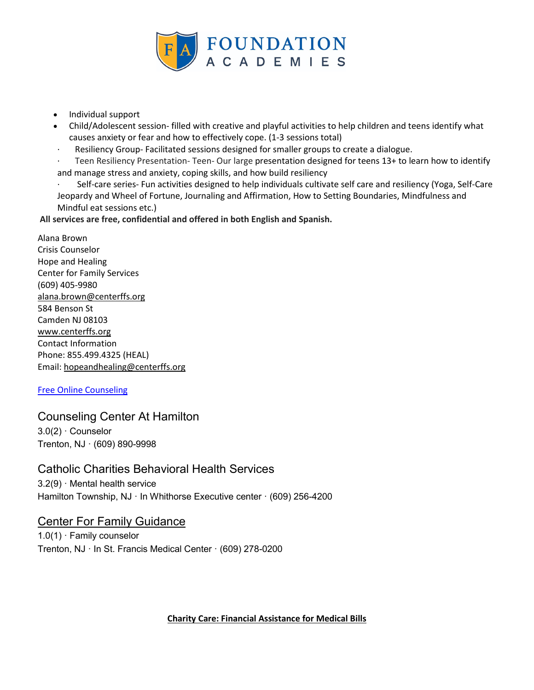

- Individual support
- Child/Adolescent session- filled with creative and playful activities to help children and teens identify what causes anxiety or fear and how to effectively cope. (1-3 sessions total)
- · Resiliency Group- Facilitated sessions designed for smaller groups to create a dialogue.

Teen Resiliency Presentation- Teen- Our large presentation designed for teens 13+ to learn how to identify and manage stress and anxiety, coping skills, and how build resiliency

Self-care series- Fun activities designed to help individuals cultivate self care and resiliency (Yoga, Self-Care Jeopardy and Wheel of Fortune, Journaling and Affirmation, How to Setting Boundaries, Mindfulness and Mindful eat sessions etc.)

**All services are free, confidential and offered in both English and Spanish.**

Alana Brown Crisis Counselor Hope and Healing Center for Family Services (609) 405-9980 [alana.brown@centerffs.org](mailto:alana.brown@centerffs.org) 584 Benson St Camden NJ 08103 [www.centerffs.org](http://www.centerffs.org/) Contact Information Phone: 855.499.4325 (HEAL) Email: [hopeandhealing@centerffs.org](mailto:hopeandhealing@centerffs.org)

## [Free Online Counseling](https://www.top10.com/online-therapy/free-comparison?utm_source=google&kw=free%20online%20counseling&c=421602685095&t=search&p=&m=b&adpos=&dev=c&devmod=&mobval=0&network=g&campaignid=2064060623&adgroupid=75364521319&targetid=kwd-18283780&interest=&physical=9003958&feedid=&a=8001&ts=&topic=&gender=&age=&agerange=&audience=&gclid=CjwKCAiApfeQBhAUEiwA7K_UH7y3c1YivcbPcP77HkeumVTe5Pe7zNuroa44KmcSLbWVQ2dRcws-bhoCiokQAvD_BwE)

# Counseling Center At Hamilton

3.0(2) · Counselor Trenton, NJ · (609) 890-9998

# Catholic Charities Behavioral Health Services

3.2(9) · Mental health service Hamilton Township, NJ · In Whithorse Executive center · (609) 256-4200

## Center For Family Guidance

1.0(1) · Family counselor Trenton, NJ · In St. Francis Medical Center · (609) 278-0200

## **Charity Care: Financial Assistance for Medical Bills**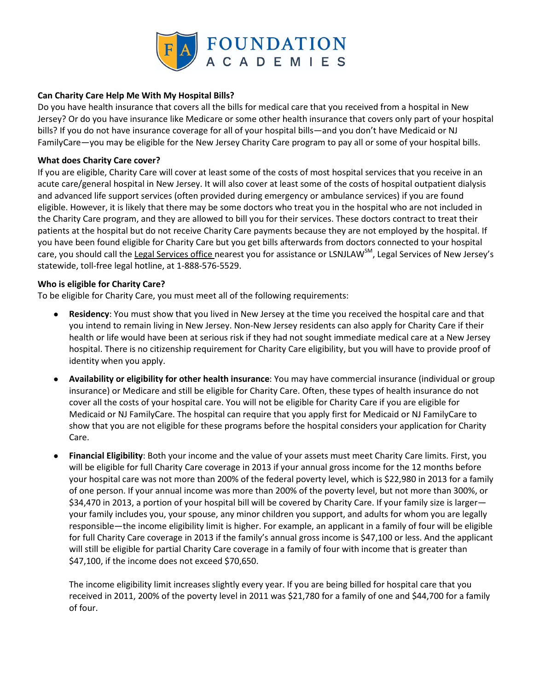

## **Can Charity Care Help Me With My Hospital Bills?**

Do you have health insurance that covers all the bills for medical care that you received from a hospital in New Jersey? Or do you have insurance like Medicare or some other health insurance that covers only part of your hospital bills? If you do not have insurance coverage for all of your hospital bills—and you don't have Medicaid or NJ FamilyCare—you may be eligible for the New Jersey Charity Care program to pay all or some of your hospital bills.

## **What does Charity Care cover?**

If you are eligible, Charity Care will cover at least some of the costs of most hospital services that you receive in an acute care/general hospital in New Jersey. It will also cover at least some of the costs of hospital outpatient dialysis and advanced life support services (often provided during emergency or ambulance services) if you are found eligible. However, it is likely that there may be some doctors who treat you in the hospital who are not included in the Charity Care program, and they are allowed to bill you for their services. These doctors contract to treat their patients at the hospital but do not receive Charity Care payments because they are not employed by the hospital. If you have been found eligible for Charity Care but you get bills afterwards from doctors connected to your hospital care, you should call the [Legal Services office](http://www.lsnj.org/LegalServicesOffices.aspx) nearest you for assistance or LSNJLAW<sup>SM</sup>, Legal Services of New Jersey's statewide, toll-free legal hotline, at 1-888-576-5529.

## **Who is eligible for Charity Care?**

To be eligible for Charity Care, you must meet all of the following requirements:

- **Residency**: You must show that you lived in New Jersey at the time you received the hospital care and that you intend to remain living in New Jersey. Non-New Jersey residents can also apply for Charity Care if their health or life would have been at serious risk if they had not sought immediate medical care at a New Jersey hospital. There is no citizenship requirement for Charity Care eligibility, but you will have to provide proof of identity when you apply.
- **Availability or eligibility for other health insurance**: You may have commercial insurance (individual or group insurance) or Medicare and still be eligible for Charity Care. Often, these types of health insurance do not cover all the costs of your hospital care. You will not be eligible for Charity Care if you are eligible for Medicaid or NJ FamilyCare. The hospital can require that you apply first for Medicaid or NJ FamilyCare to show that you are not eligible for these programs before the hospital considers your application for Charity Care.
- **Financial Eligibility**: Both your income and the value of your assets must meet Charity Care limits. First, you will be eligible for full Charity Care coverage in 2013 if your annual gross income for the 12 months before your hospital care was not more than 200% of the federal poverty level, which is \$22,980 in 2013 for a family of one person. If your annual income was more than 200% of the poverty level, but not more than 300%, or \$34,470 in 2013, a portion of your hospital bill will be covered by Charity Care. If your family size is larger your family includes you, your spouse, any minor children you support, and adults for whom you are legally responsible—the income eligibility limit is higher. For example, an applicant in a family of four will be eligible for full Charity Care coverage in 2013 if the family's annual gross income is \$47,100 or less. And the applicant will still be eligible for partial Charity Care coverage in a family of four with income that is greater than \$47,100, if the income does not exceed \$70,650.

The income eligibility limit increases slightly every year. If you are being billed for hospital care that you received in 2011, 200% of the poverty level in 2011 was \$21,780 for a family of one and \$44,700 for a family of four.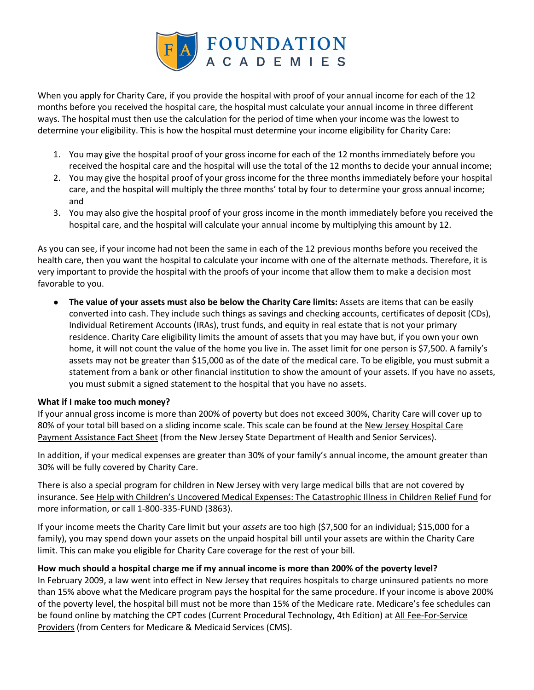

When you apply for Charity Care, if you provide the hospital with proof of your annual income for each of the 12 months before you received the hospital care, the hospital must calculate your annual income in three different ways. The hospital must then use the calculation for the period of time when your income was the lowest to determine your eligibility. This is how the hospital must determine your income eligibility for Charity Care:

- 1. You may give the hospital proof of your gross income for each of the 12 months immediately before you received the hospital care and the hospital will use the total of the 12 months to decide your annual income;
- 2. You may give the hospital proof of your gross income for the three months immediately before your hospital care, and the hospital will multiply the three months' total by four to determine your gross annual income; and
- 3. You may also give the hospital proof of your gross income in the month immediately before you received the hospital care, and the hospital will calculate your annual income by multiplying this amount by 12.

As you can see, if your income had not been the same in each of the 12 previous months before you received the health care, then you want the hospital to calculate your income with one of the alternate methods. Therefore, it is very important to provide the hospital with the proofs of your income that allow them to make a decision most favorable to you.

● **The value of your assets must also be below the Charity Care limits:** Assets are items that can be easily converted into cash. They include such things as savings and checking accounts, certificates of deposit (CDs), Individual Retirement Accounts (IRAs), trust funds, and equity in real estate that is not your primary residence. Charity Care eligibility limits the amount of assets that you may have but, if you own your own home, it will not count the value of the home you live in. The asset limit for one person is \$7,500. A family's assets may not be greater than \$15,000 as of the date of the medical care. To be eligible, you must submit a statement from a bank or other financial institution to show the amount of your assets. If you have no assets, you must submit a signed statement to the hospital that you have no assets.

## **What if I make too much money?**

If your annual gross income is more than 200% of poverty but does not exceed 300%, Charity Care will cover up to 80% of your total bill based on a sliding income scale. This scale can be found at the New Jersey Hospital Care [Payment Assistance Fact Sheet](http://www.state.nj.us/health/charitycare/documents/charitycare_factsheet_en.pdf) (from the New Jersey State Department of Health and Senior Services).

In addition, if your medical expenses are greater than 30% of your family's annual income, the amount greater than 30% will be fully covered by Charity Care.

There is also a special program for children in New Jersey with very large medical bills that are not covered by insurance. See [Help with Children's Uncovered Medical Expenses: The Catastrophic Illness in Children Relief Fund](http://www.lsnjlaw.org/Health-Care/Uninsured/Children-Medical-Expenses/Pages/Help-with-Children%E2%80%99s-Uncovered-Medical-Expenses-The-Catastrophic-Illness-in-Children-Relief-Fund.aspx) for more information, or call 1-800-335-FUND (3863).

If your income meets the Charity Care limit but your *assets* are too high (\$7,500 for an individual; \$15,000 for a family), you may spend down your assets on the unpaid hospital bill until your assets are within the Charity Care limit. This can make you eligible for Charity Care coverage for the rest of your bill.

## **How much should a hospital charge me if my annual income is more than 200% of the poverty level?**

In February 2009, a law went into effect in New Jersey that requires hospitals to charge uninsured patients no more than 15% above what the Medicare program pays the hospital for the same procedure. If your income is above 200% of the poverty level, the hospital bill must not be more than 15% of the Medicare rate. Medicare's fee schedules can be found online by matching the CPT codes (Current Procedural Technology, 4th Edition) at [All Fee-For-Service](http://www.cms.gov/Center/Provider-Type/All-Fee-For-Service-Providers-Center.html?redirect=/center/provider.asp)  [Providers](http://www.cms.gov/Center/Provider-Type/All-Fee-For-Service-Providers-Center.html?redirect=/center/provider.asp) (from Centers for Medicare & Medicaid Services (CMS).